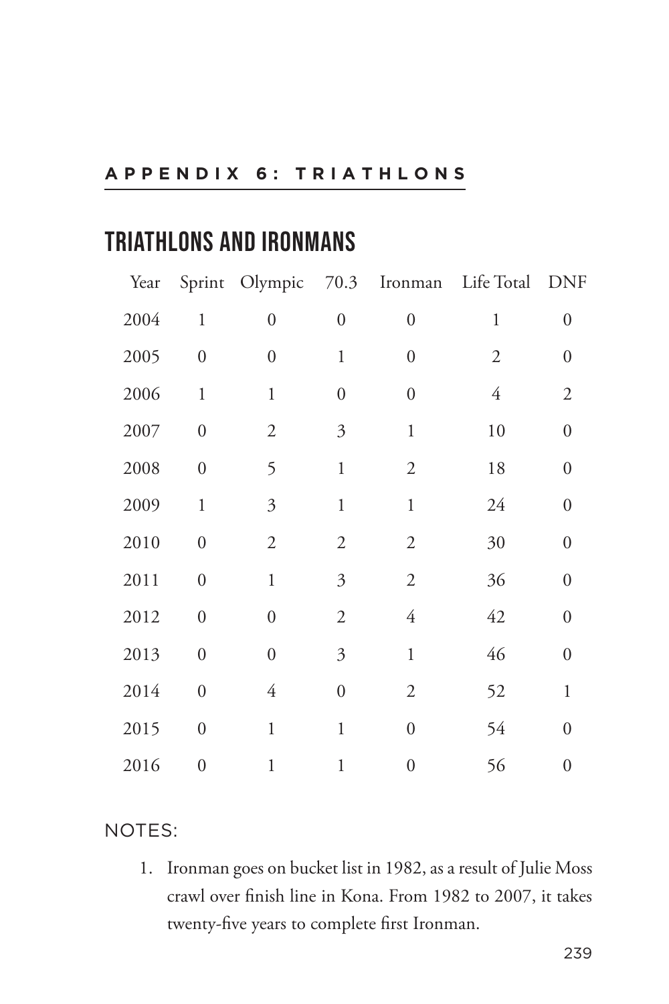## **TRIATHLONS AND IRONMANS**

| Year |                  |                  |                           |                  | Sprint Olympic 70.3 Ironman Life Total | <b>DNF</b>       |
|------|------------------|------------------|---------------------------|------------------|----------------------------------------|------------------|
| 2004 | $\mathbf{1}$     | $\boldsymbol{0}$ | $\boldsymbol{0}$          | $\boldsymbol{0}$ | $\mathbf{1}$                           | $\overline{0}$   |
| 2005 | $\overline{0}$   | $\boldsymbol{0}$ | $\mathbf{1}$              | $\boldsymbol{0}$ | $\mathfrak{2}$                         | $\boldsymbol{0}$ |
| 2006 | $\mathbf{1}$     | $\mathbf{1}$     | $\boldsymbol{0}$          | $\boldsymbol{0}$ | 4                                      | $\overline{2}$   |
| 2007 | $\boldsymbol{0}$ | $\mathfrak{2}$   | 3                         | $\mathbf{1}$     | 10                                     | $\boldsymbol{0}$ |
| 2008 | $\boldsymbol{0}$ | 5                | $\mathbf{1}$              | $\overline{2}$   | 18                                     | $\boldsymbol{0}$ |
| 2009 | $\mathbf{1}$     | $\mathfrak{Z}$   | $\mathbf{1}$              | $\mathbf{1}$     | 24                                     | $\boldsymbol{0}$ |
| 2010 | $\boldsymbol{0}$ | $\mathfrak{2}$   | $\mathfrak{2}$            | $\mathfrak{2}$   | 30                                     | $\boldsymbol{0}$ |
| 2011 | $\boldsymbol{0}$ | $\mathbf{1}$     | $\overline{\mathfrak{Z}}$ | $\mathfrak{2}$   | 36                                     | $\mathbf{0}$     |
| 2012 | $\boldsymbol{0}$ | $\boldsymbol{0}$ | $\mathfrak{2}$            | $\overline{4}$   | 42                                     | $\boldsymbol{0}$ |
| 2013 | $\overline{0}$   | $\boldsymbol{0}$ | 3                         | $\mathbf{1}$     | 46                                     | $\overline{0}$   |
| 2014 | $\boldsymbol{0}$ | $\overline{4}$   | $\boldsymbol{0}$          | $\mathfrak{2}$   | 52                                     | $\mathbf{1}$     |
| 2015 | $\boldsymbol{0}$ | $\mathbf{1}$     | $\mathbf{1}$              | $\boldsymbol{0}$ | 54                                     | $\boldsymbol{0}$ |
| 2016 | $\overline{0}$   | $\mathbf 1$      | 1                         | $\boldsymbol{0}$ | 56                                     | $\boldsymbol{0}$ |

## NOTES:

1. Ironman goes on bucket list in 1982, as a result of Julie Moss crawl over finish line in Kona. From 1982 to 2007, it takes twenty-five years to complete first Ironman.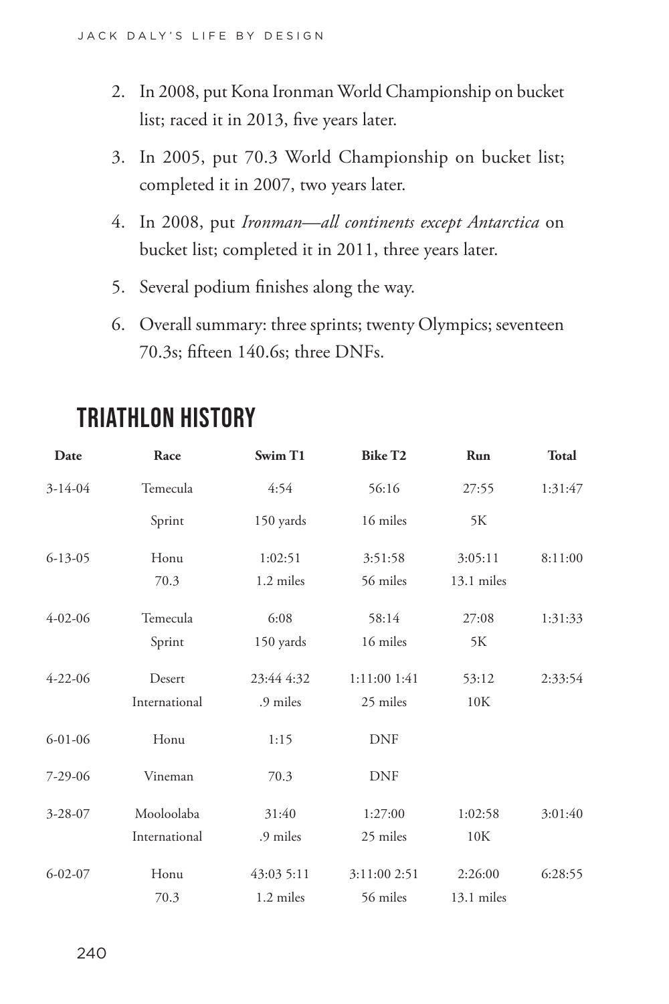- 2. In 2008, put Kona Ironman World Championship on bucket list; raced it in 2013, five years later.
- 3. In 2005, put 70.3 World Championship on bucket list; completed it in 2007, two years later.
- 4. In 2008, put *Ironman—all continents except Antarctica* on bucket list; completed it in 2011, three years later.
- 5. Several podium finishes along the way.
- 6. Overall summary: three sprints; twenty Olympics; seventeen 70.3s; fifteen 140.6s; three DNFs.

| Date          | Race          | Swim T1    | <b>Bike T2</b>   | Run        | <b>Total</b> |
|---------------|---------------|------------|------------------|------------|--------------|
| $3-14-04$     | Temecula      | 4:54       | 56:16            | 27:55      | 1:31:47      |
|               | Sprint        | 150 yards  | 16 miles         | 5K         |              |
| $6 - 13 - 05$ | Honu          | 1:02:51    | 3:51:58          | 3:05:11    | 8:11:00      |
|               | 70.3          | 1.2 miles  | 56 miles         | 13.1 miles |              |
| $4 - 02 - 06$ | Temecula      | 6:08       | 58:14            | 27:08      | 1:31:33      |
|               | Sprint        | 150 yards  | 16 miles         | 5K         |              |
| $4 - 22 - 06$ | Desert        | 23:44 4:32 | $1:11:00$ $1:41$ | 53:12      | 2:33:54      |
|               | International | .9 miles   | 25 miles         | 10K        |              |
| $6 - 01 - 06$ | Honu          | 1:15       | <b>DNF</b>       |            |              |
| $7 - 29 - 06$ | Vineman       | 70.3       | <b>DNF</b>       |            |              |
| $3 - 28 - 07$ | Mooloolaba    | 31:40      | 1:27:00          | 1:02:58    | 3:01:40      |
|               | International | .9 miles   | 25 miles         | 10K        |              |
| $6 - 02 - 07$ | Honu          | 43:03 5:11 | 3:11:00 2:51     | 2:26:00    | 6:28:55      |
|               | 70.3          | 1.2 miles  | 56 miles         | 13.1 miles |              |

## **TRIATHLON HISTORY**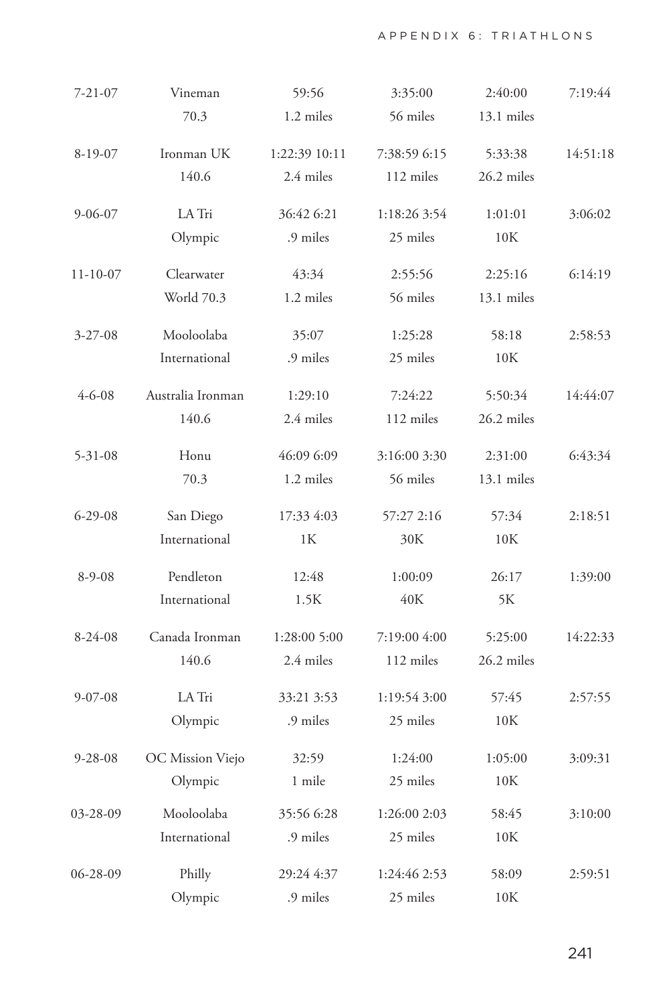| $7 - 21 - 07$ | Vineman           | 59:56         | 3:35:00      | 2:40:00        | 7:19:44  |
|---------------|-------------------|---------------|--------------|----------------|----------|
|               | 70.3              | 1.2 miles     | 56 miles     | 13.1 miles     |          |
| $8-19-07$     | Ironman UK        | 1:22:39 10:11 | 7:38:59 6:15 | 5:33:38        | 14:51:18 |
|               | 140.6             | 2.4 miles     | 112 miles    | 26.2 miles     |          |
| $9 - 06 - 07$ | LA Tri            | 36:42 6:21    | 1:18:26 3:54 | 1:01:01        | 3:06:02  |
|               | Olympic           | .9 miles      | 25 miles     | 10K            |          |
| $11-10-07$    | Clearwater        | 43:34         | 2:55:56      | 2:25:16        | 6:14:19  |
|               | World 70.3        | 1.2 miles     | 56 miles     | 13.1 miles     |          |
| $3 - 27 - 08$ | Mooloolaba        | 35:07         | 1:25:28      | 58:18          | 2:58:53  |
|               | International     | .9 miles      | 25 miles     | 10K            |          |
| $4 - 6 - 08$  | Australia Ironman | 1:29:10       | 7:24:22      | 5:50:34        | 14:44:07 |
|               | 140.6             | 2.4 miles     | 112 miles    | 26.2 miles     |          |
| $5 - 31 - 08$ | Honu              | 46:09 6:09    | 3:16:00 3:30 | 2:31:00        | 6:43:34  |
|               | 70.3              | 1.2 miles     | 56 miles     | 13.1 miles     |          |
| $6 - 29 - 08$ | San Diego         | 17:33 4:03    | 57:27 2:16   | 57:34          | 2:18:51  |
|               | International     | 1К            | 30K          | 10K            |          |
| $8-9-08$      | Pendleton         | 12:48         | 1:00:09      | 26:17          | 1:39:00  |
|               | International     | 1.5K          | 40K          | 5К             |          |
| $8-24-08$     | Canada Ironman    | 1:28:00 5:00  | 7:19:00 4:00 | 5:25:00        | 14:22:33 |
|               | 140.6             | 2.4 miles     | 112 miles    | 26.2 miles     |          |
| $9 - 07 - 08$ | LA Tri            | 33:21 3:53    | 1:19:54 3:00 | 57:45          | 2:57:55  |
|               | Olympic           | .9 miles      | 25 miles     | 10K            |          |
| $9 - 28 - 08$ | OC Mission Viejo  | 32:59         | 1:24:00      | 1:05:00        | 3:09:31  |
|               | Olympic           | 1 mile        | 25 miles     | $10\mathrm{K}$ |          |
| 03-28-09      | Mooloolaba        | 35:56 6:28    | 1:26:00 2:03 | 58:45          | 3:10:00  |
|               | International     | .9 miles      | 25 miles     | 10K            |          |
| 06-28-09      | Philly            | 29:24 4:37    | 1:24:46 2:53 | 58:09          | 2:59:51  |
|               | Olympic           | .9 miles      | 25 miles     | 10K            |          |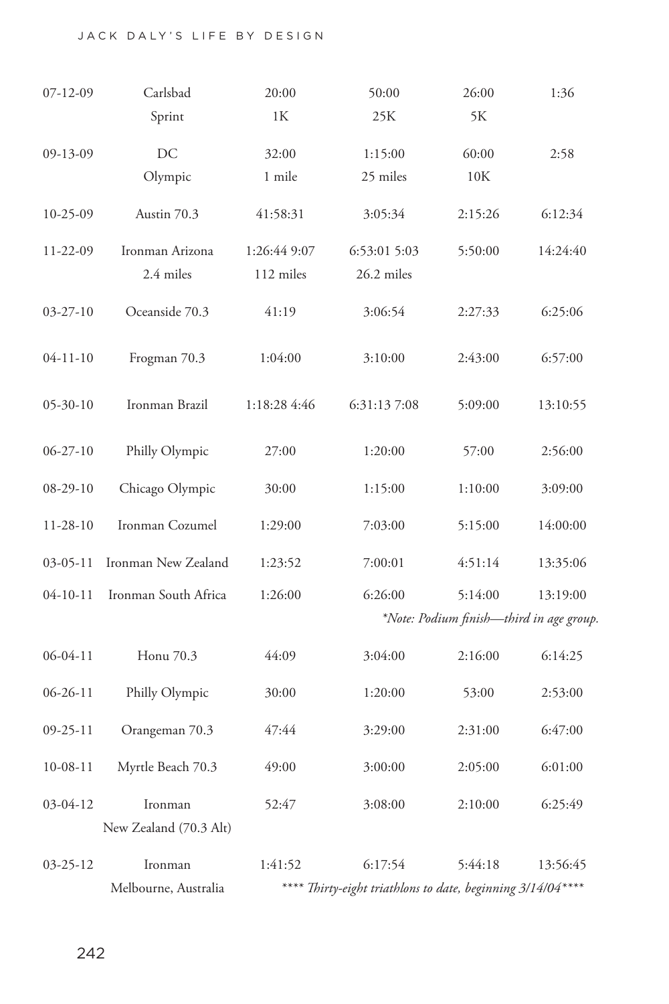## JACK DALY'S LIFE BY DESIGN

| $07 - 12 - 09$ | Carlsbad                                                                             | 20:00                                    | 50:00        | 26:00   | 1:36     |  |
|----------------|--------------------------------------------------------------------------------------|------------------------------------------|--------------|---------|----------|--|
|                | Sprint                                                                               | 1К                                       | 25K          | 5Κ      |          |  |
| 09-13-09       | DC                                                                                   | 32:00                                    | 1:15:00      | 60:00   | 2:58     |  |
|                | Olympic                                                                              | 1 mile                                   | 25 miles     | 10K     |          |  |
|                |                                                                                      |                                          |              |         |          |  |
| $10-25-09$     | Austin 70.3                                                                          | 41:58:31                                 | 3:05:34      | 2:15:26 | 6:12:34  |  |
| 11-22-09       | Ironman Arizona                                                                      | 1:26:44 9:07                             | 6:53:01 5:03 | 5:50:00 | 14:24:40 |  |
|                | 2.4 miles                                                                            | 112 miles                                | 26.2 miles   |         |          |  |
|                |                                                                                      |                                          |              |         |          |  |
| $03 - 27 - 10$ | Oceanside 70.3                                                                       | 41:19                                    | 3:06:54      | 2:27:33 | 6:25:06  |  |
|                |                                                                                      |                                          |              |         |          |  |
| $04-11-10$     | Frogman 70.3                                                                         | 1:04:00                                  | 3:10:00      | 2:43:00 | 6:57:00  |  |
| $05 - 30 - 10$ | Ironman Brazil                                                                       | 1:18:28 4:46                             | 6:31:13 7:08 | 5:09:00 | 13:10:55 |  |
|                |                                                                                      |                                          |              |         |          |  |
| $06 - 27 - 10$ | Philly Olympic                                                                       | 27:00                                    | 1:20:00      | 57:00   | 2:56:00  |  |
|                |                                                                                      |                                          |              |         |          |  |
| 08-29-10       | Chicago Olympic                                                                      | 30:00                                    | 1:15:00      | 1:10:00 | 3:09:00  |  |
| $11 - 28 - 10$ | Ironman Cozumel                                                                      | 1:29:00                                  | 7:03:00      | 5:15:00 | 14:00:00 |  |
|                |                                                                                      |                                          |              |         |          |  |
| $03-05-11$     | Ironman New Zealand                                                                  | 1:23:52                                  | 7:00:01      | 4:51:14 | 13:35:06 |  |
| $04 - 10 - 11$ | Ironman South Africa                                                                 | 1:26:00                                  | 6:26:00      | 5:14:00 | 13:19:00 |  |
|                |                                                                                      | *Note: Podium finish-third in age group. |              |         |          |  |
| 06-04-11       | Honu 70.3                                                                            | 44:09                                    | 3:04:00      | 2:16:00 | 6:14:25  |  |
|                |                                                                                      |                                          |              |         |          |  |
| $06 - 26 - 11$ | Philly Olympic                                                                       | 30:00                                    | 1:20:00      | 53:00   | 2:53:00  |  |
| $09 - 25 - 11$ | Orangeman 70.3                                                                       | 47:44                                    | 3:29:00      | 2:31:00 | 6:47:00  |  |
|                |                                                                                      |                                          |              |         |          |  |
| $10-08-11$     | Myrtle Beach 70.3                                                                    | 49:00                                    | 3:00:00      | 2:05:00 | 6:01:00  |  |
| 03-04-12       | Ironman                                                                              | 52:47                                    | 3:08:00      | 2:10:00 | 6:25:49  |  |
|                | New Zealand (70.3 Alt)                                                               |                                          |              |         |          |  |
|                |                                                                                      |                                          |              |         |          |  |
| 03-25-12       | Ironman                                                                              | 1:41:52                                  | 6:17:54      | 5:44:18 | 13:56:45 |  |
|                | **** Thirty-eight triathlons to date, beginning 3/14/04 ****<br>Melbourne, Australia |                                          |              |         |          |  |